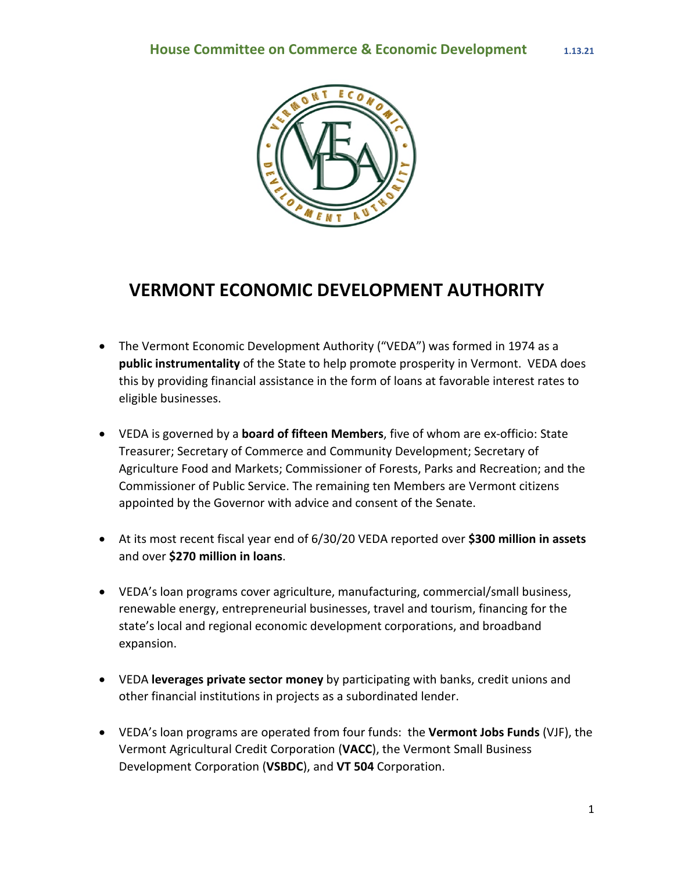

## **VERMONT ECONOMIC DEVELOPMENT AUTHORITY**

- The Vermont Economic Development Authority ("VEDA") was formed in 1974 as a **public instrumentality** of the State to help promote prosperity in Vermont. VEDA does this by providing financial assistance in the form of loans at favorable interest rates to eligible businesses.
- VEDA is governed by a **board of fifteen Members**, five of whom are ex-officio: State Treasurer; Secretary of Commerce and Community Development; Secretary of Agriculture Food and Markets; Commissioner of Forests, Parks and Recreation; and the Commissioner of Public Service. The remaining ten Members are Vermont citizens appointed by the Governor with advice and consent of the Senate.
- At its most recent fiscal year end of 6/30/20 VEDA reported over **\$300 million in assets** and over **\$270 million in loans**.
- VEDA's loan programs cover agriculture, manufacturing, commercial/small business, renewable energy, entrepreneurial businesses, travel and tourism, financing for the state's local and regional economic development corporations, and broadband expansion.
- VEDA **leverages private sector money** by participating with banks, credit unions and other financial institutions in projects as a subordinated lender.
- VEDA's loan programs are operated from four funds: the **Vermont Jobs Funds** (VJF), the Vermont Agricultural Credit Corporation (**VACC**), the Vermont Small Business Development Corporation (**VSBDC**), and **VT 504** Corporation.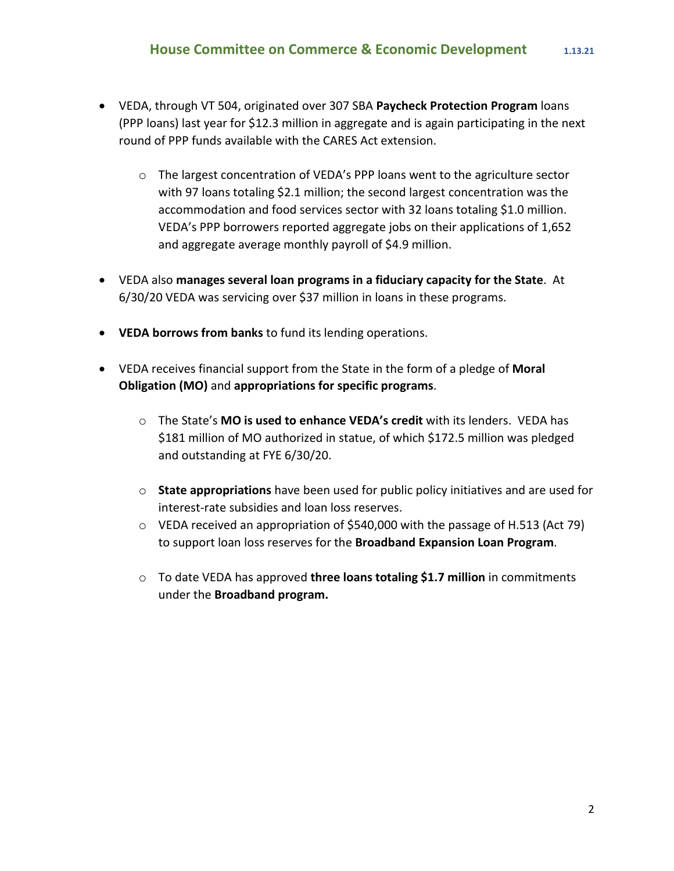- VEDA, through VT 504, originated over 307 SBA **Paycheck Protection Program** loans (PPP loans) last year for \$12.3 million in aggregate and is again participating in the next round of PPP funds available with the CARES Act extension.
	- o The largest concentration of VEDA's PPP loans went to the agriculture sector with 97 loans totaling \$2.1 million; the second largest concentration was the accommodation and food services sector with 32 loans totaling \$1.0 million. VEDA's PPP borrowers reported aggregate jobs on their applications of 1,652 and aggregate average monthly payroll of \$4.9 million.
- VEDA also **manages several loan programs in a fiduciary capacity for the State**. At 6/30/20 VEDA was servicing over \$37 million in loans in these programs.
- **VEDA borrows from banks** to fund its lending operations.
- VEDA receives financial support from the State in the form of a pledge of **Moral Obligation (MO)** and **appropriations for specific programs**.
	- o The State's **MO is used to enhance VEDA's credit** with its lenders. VEDA has \$181 million of MO authorized in statue, of which \$172.5 million was pledged and outstanding at FYE 6/30/20.
	- o **State appropriations** have been used for public policy initiatives and are used for interest-rate subsidies and loan loss reserves.
	- o VEDA received an appropriation of \$540,000 with the passage of H.513 (Act 79) to support loan loss reserves for the **Broadband Expansion Loan Program**.
	- o To date VEDA has approved **three loans totaling \$1.7 million** in commitments under the **Broadband program.**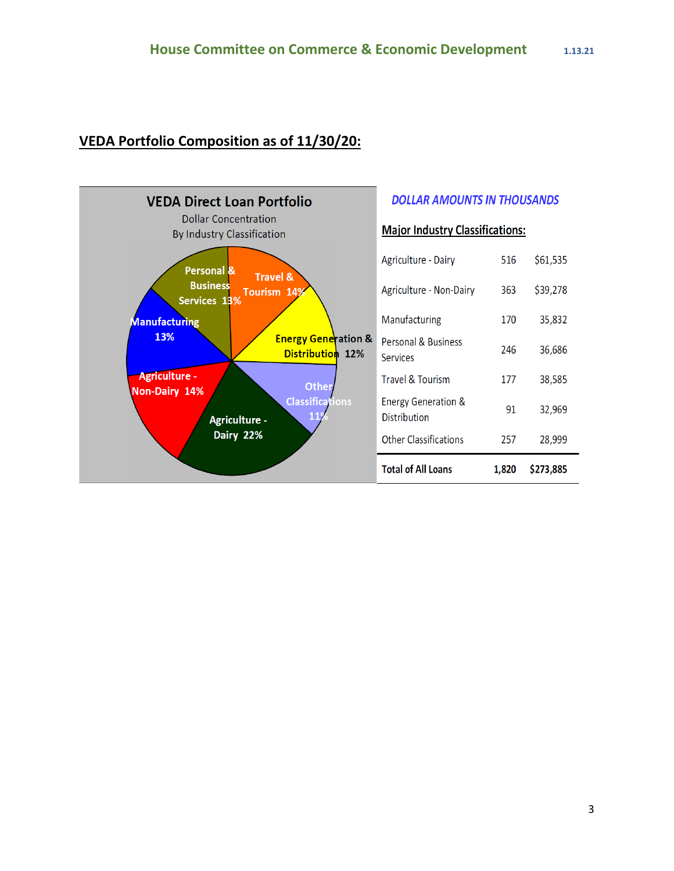## **VEDA Portfolio Composition as of 11/30/20:**